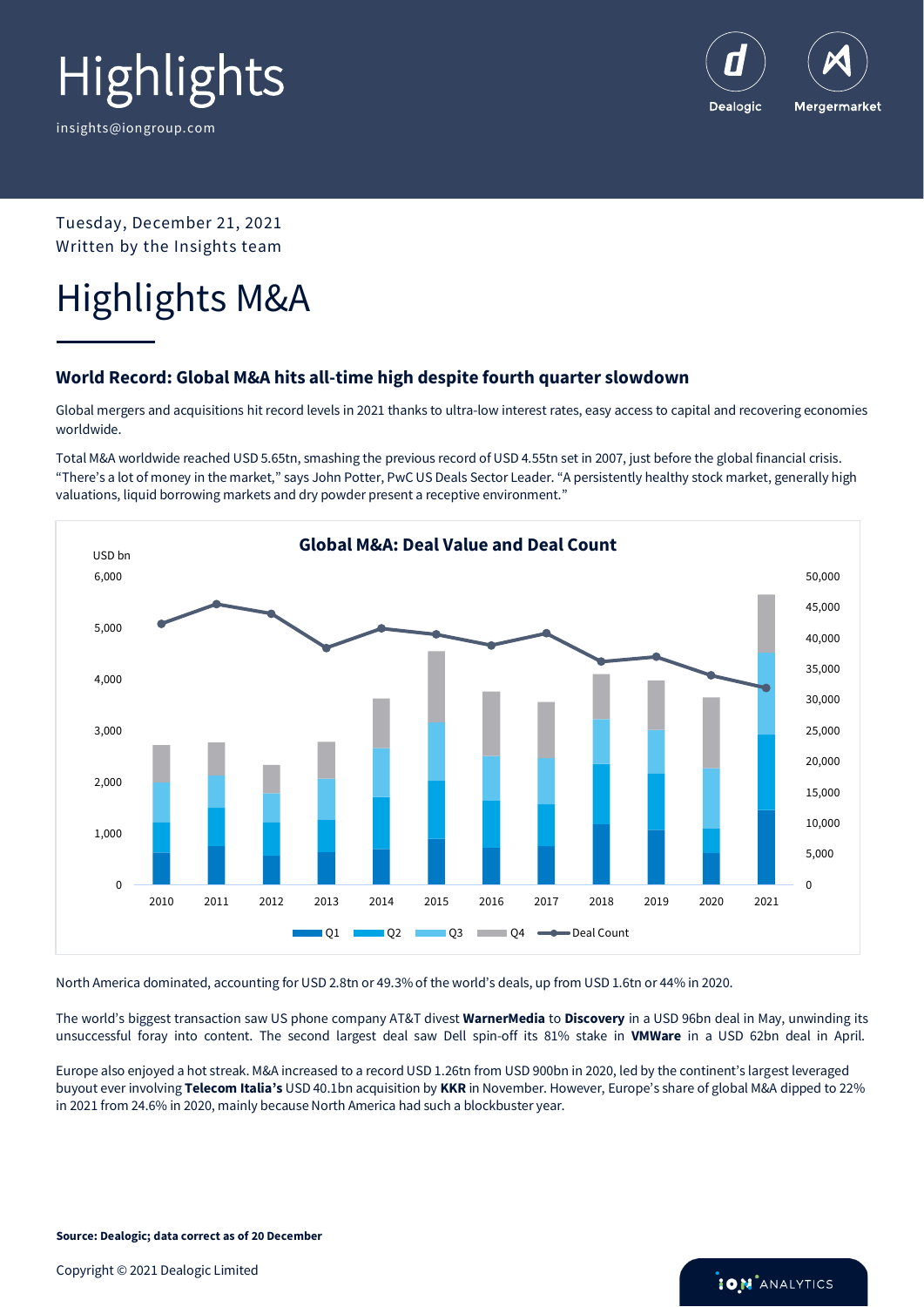

Dealogic Mergermarket

Tuesday, December 21, 2021 Written by the Insights team

### Highlights M&A

### **World Record: Global M&A hits all-time high despite fourth quarter slowdown**

Global mergers and acquisitions hit record levels in 2021 thanks to ultra-low interest rates, easy access to capital and recovering economies worldwide.

Total M&A worldwide reached USD 5.65tn, smashing the previous record of USD 4.55tn set in 2007, just before the global financial crisis. "There's a lot of money in the market," says John Potter, PwC US Deals Sector Leader. "A persistently healthy stock market, generally high valuations, liquid borrowing markets and dry powder present a receptive environment."



North America dominated, accounting for USD 2.8tn or 49.3% of the world's deals, up from USD 1.6tn or 44% in 2020.

The world's biggest transaction saw US phone company AT&T divest **WarnerMedia** to **Discovery** in a USD 96bn deal in May, unwinding its unsuccessful foray into content. The second largest deal saw Dell spin-off its 81% stake in **VMWare** in a USD 62bn deal in April.

Europe also enjoyed a hot streak. M&A increased to a record USD 1.26tn from USD 900bn in 2020, led by the continent's largest leveraged buyout ever involving **Telecom Italia's** USD 40.1bn acquisition by **KKR** in November. However, Europe's share of global M&A dipped to 22% in 2021 from 24.6% in 2020, mainly because North America had such a blockbuster year.

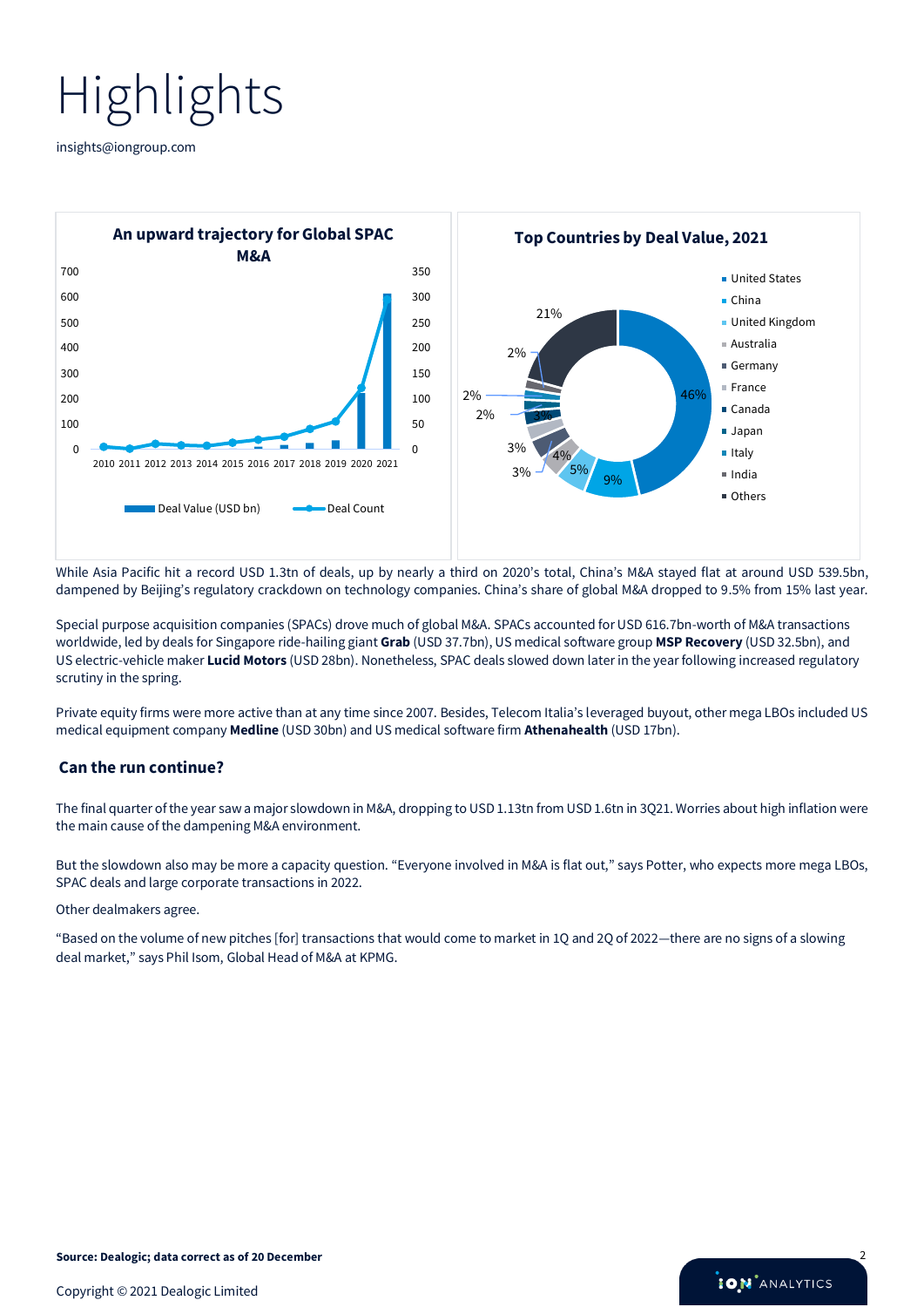[insights@iongroup.com](mailto:insights@iongroup.com)



While Asia Pacific hit a record USD 1.3tn of deals, up by nearly a third on 2020's total, China's M&A stayed flat at around USD 539.5bn, dampened by Beijing's regulatory crackdown on technology companies. China's share of global M&A dropped to 9.5% from 15% last year.

Special purpose acquisition companies (SPACs) drove much of global M&A. SPACs accounted for USD 616.7bn-worth of M&A transactions worldwide, led by deals for Singapore ride-hailing giant **Grab** (USD 37.7bn), US medical software group **MSP Recovery** (USD 32.5bn), and US electric-vehicle maker **Lucid Motors** (USD 28bn). Nonetheless, SPAC deals slowed down later in the year following increased regulatory scrutiny in the spring.

Private equity firms were more active than at any time since 2007. Besides, Telecom Italia's leveraged buyout, other mega LBOs included US medical equipment company **Medline** (USD 30bn) and US medical software firm **Athenahealth** (USD 17bn).

#### **Can the run continue?**

The final quarter of the year saw a major slowdown in M&A, dropping to USD 1.13tn from USD 1.6tn in 3Q21. Worries about high inflation were the main cause of the dampening M&A environment.

But the slowdown also may be more a capacity question. "Everyone involved in M&A is flat out," says Potter, who expects more mega LBOs, SPAC deals and large corporate transactions in 2022.

#### Other dealmakers agree.

"Based on the volume of new pitches [for] transactions that would come to market in 1Q and 2Q of 2022—there are no signs of a slowing deal market," says Phil Isom, Global Head of M&A at KPMG.

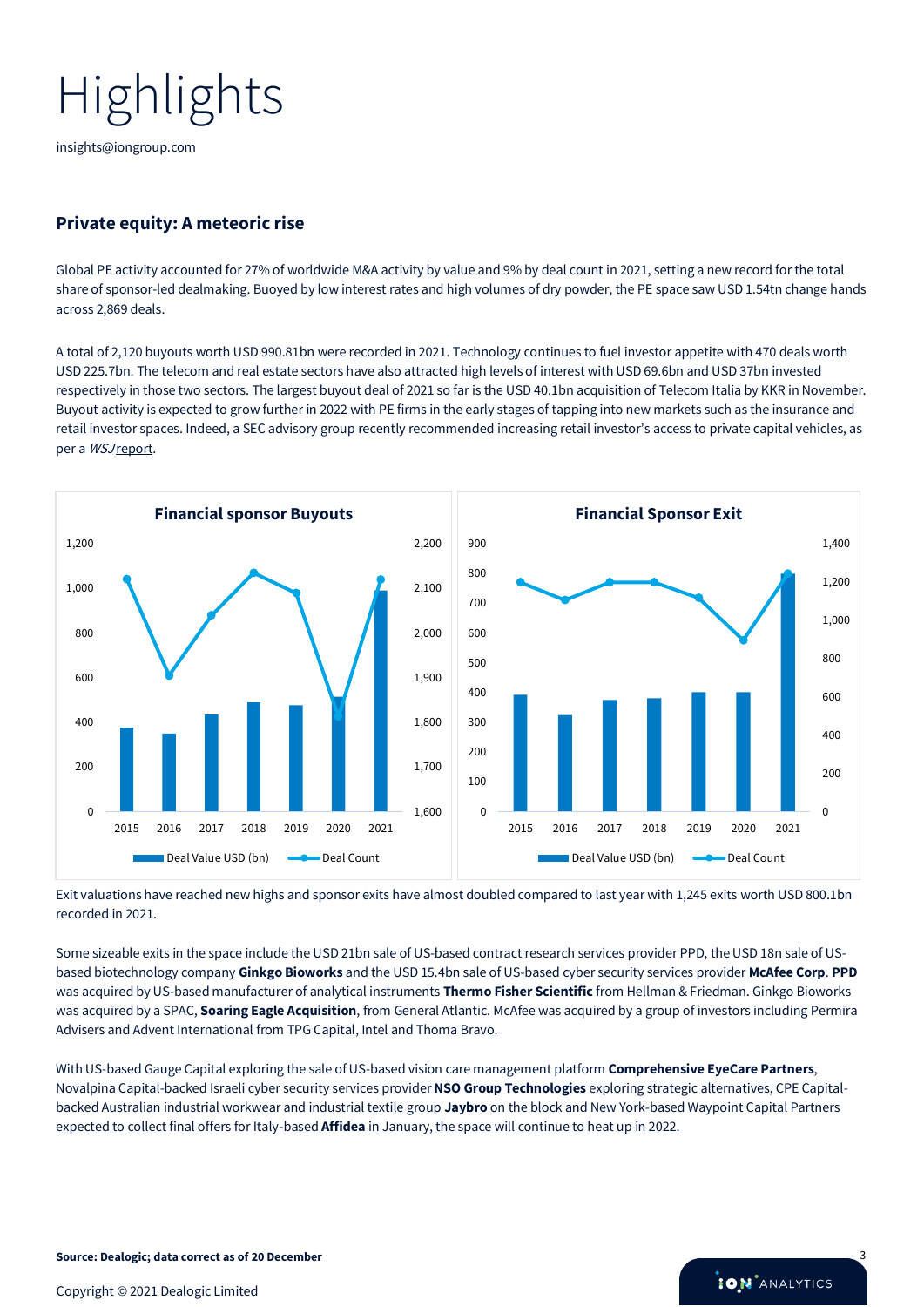[insights@iongroup.com](mailto:insights@iongroup.com)

### **Private equity: A meteoric rise**

Global PE activity accounted for 27% of worldwide M&A activity by value and 9% by deal count in 2021, setting a new record for the total share of sponsor-led dealmaking. Buoyed by low interest rates and high volumes of dry powder, the PE space saw USD 1.54tn change hands across 2,869 deals.

A total of 2,120 buyouts worth USD 990.81bn were recorded in 2021. Technology continues to fuel investor appetite with 470 deals worth USD 225.7bn. The telecom and real estate sectors have also attracted high levels of interest with USD 69.6bn and USD 37bn invested respectively in those two sectors. The largest buyout deal of 2021 so far is the USD 40.1bn acquisition of Telecom Italia by KKR in November. Buyout activity is expected to grow further in 2022 with PE firms in the early stages of tapping into new markets such as the insurance and retail investor spaces. Indeed, a SEC advisory group recently recommended increasing retail investor's access to private capital vehicles, as per a *WSJ* report.



Exit valuations have reached new highs and sponsor exits have almost doubled compared to last year with 1,245 exits worth USD 800.1bn recorded in 2021.

Some sizeable exits in the space include the USD 21bn sale of US-based contract research services provider PPD, the USD 18n sale of USbased biotechnology company **Ginkgo Bioworks** and the USD 15.4bn sale of US-based cyber security services provider **McAfee Corp**. **PPD** was acquired by US-based manufacturer of analytical instruments **Thermo Fisher Scientific** from Hellman & Friedman. Ginkgo Bioworks was acquired by a SPAC, **Soaring Eagle Acquisition**, from General Atlantic. McAfee was acquired by a group of investors including Permira Advisers and Advent International from TPG Capital, Intel and Thoma Bravo.

With US-based Gauge Capital exploring the sale of US-based vision care management platform **[Comprehensive EyeCare Partners](https://www.mergermarket.com/intelligence/view/intelcms-cvsxbk)**, Novalpina Capital-backed Israeli cyber security services provider**[NSO Group Technologies](https://www.mergermarket.com/intelligence/view/intelcms-mnt9x2)** exploring strategic alternatives, CPE Capitalbacked Australian industrial workwear and industrial textile group **[Jaybro](https://www.mergermarket.com/intelligence/view/intelcms-7rpp2g%22%20/o%20%22https:/www.mergermarket.com/intelligence/view/intelcms-7rpp2g)** on the block and New York-based Waypoint Capital Partners expected to collect final offers for Italy-based **[Affidea](https://www.mergermarket.com/intelligence/view/intelcms-bsbjv2%22%20/o%20%22https:/www.mergermarket.com/intelligence/view/intelcms-bsbjv2)** in January, the space will continue to heat up in 2022.

**ION** ANALYTICS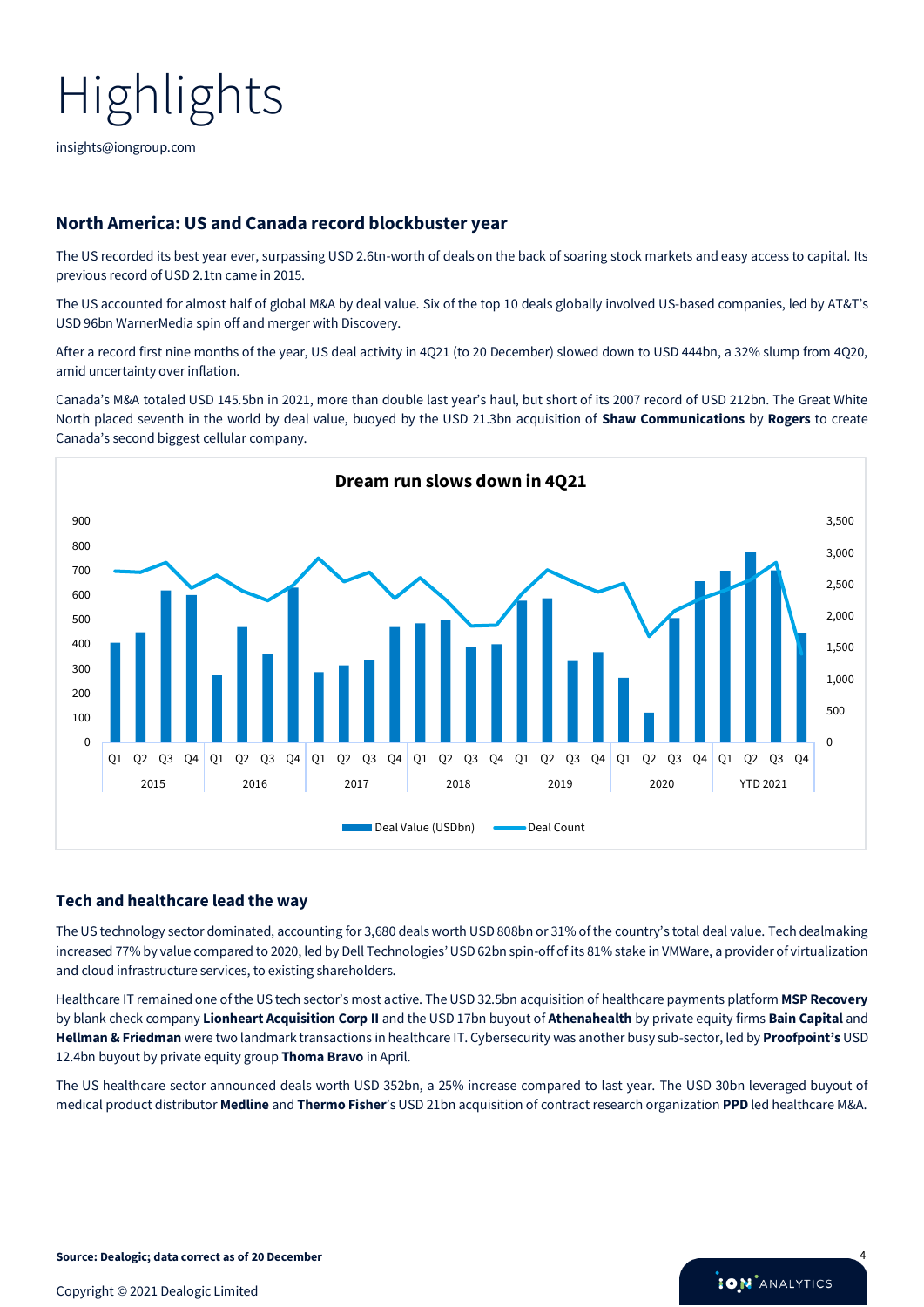[insights@iongroup.com](mailto:insights@iongroup.com)

### **North America: US and Canada record blockbuster year**

The US recorded its best year ever, surpassing USD 2.6tn-worth of deals on the back of soaring stock markets and easy access to capital. Its previous record of USD 2.1tn came in 2015.

The US accounted for almost half of global M&A by deal value. Six of the top 10 deals globally involved US-based companies, led by AT&T's USD 96bn WarnerMedia spin off and merger with Discovery.

After a record first nine months of the year, US deal activity in 4Q21 (to 20 December) slowed down to USD 444bn, a 32% slump from 4Q20, amid uncertainty over inflation.

Canada's M&A totaled USD 145.5bn in 2021, more than double last year's haul, but short of its 2007 record of USD 212bn. The Great White North placed seventh in the world by deal value, buoyed by the USD 21.3bn acquisition of **Shaw Communications** by **Rogers** to create Canada's second biggest cellular company.



#### **Tech and healthcare lead the way**

The US technology sector dominated, accounting for 3,680 deals worth USD 808bn or 31% of the country's total deal value. Tech dealmaking increased 77% by value compared to 2020, led by Dell Technologies'USD 62bn spin-off of its 81% stake in VMWare, a provider of virtualization and cloud infrastructure services, to existing shareholders.

Healthcare IT remained one of the US tech sector's most active. The USD 32.5bn acquisition of healthcare payments platform **MSP Recovery** by blank check company **Lionheart Acquisition Corp II** and the USD 17bn buyout of **Athenahealth** by private equity firms **Bain Capital** and **Hellman & Friedman** were two landmark transactions in healthcare IT. Cybersecurity was another busy sub-sector, led by **Proofpoint's** USD 12.4bn buyout by private equity group **Thoma Bravo** in April.

The US healthcare sector announced deals worth USD 352bn, a 25% increase compared to last year. The USD 30bn leveraged buyout of medical product distributor **Medline** and **Thermo Fisher**'s USD 21bn acquisition of contract research organization **PPD** led healthcare M&A.

**ION** ANALYTICS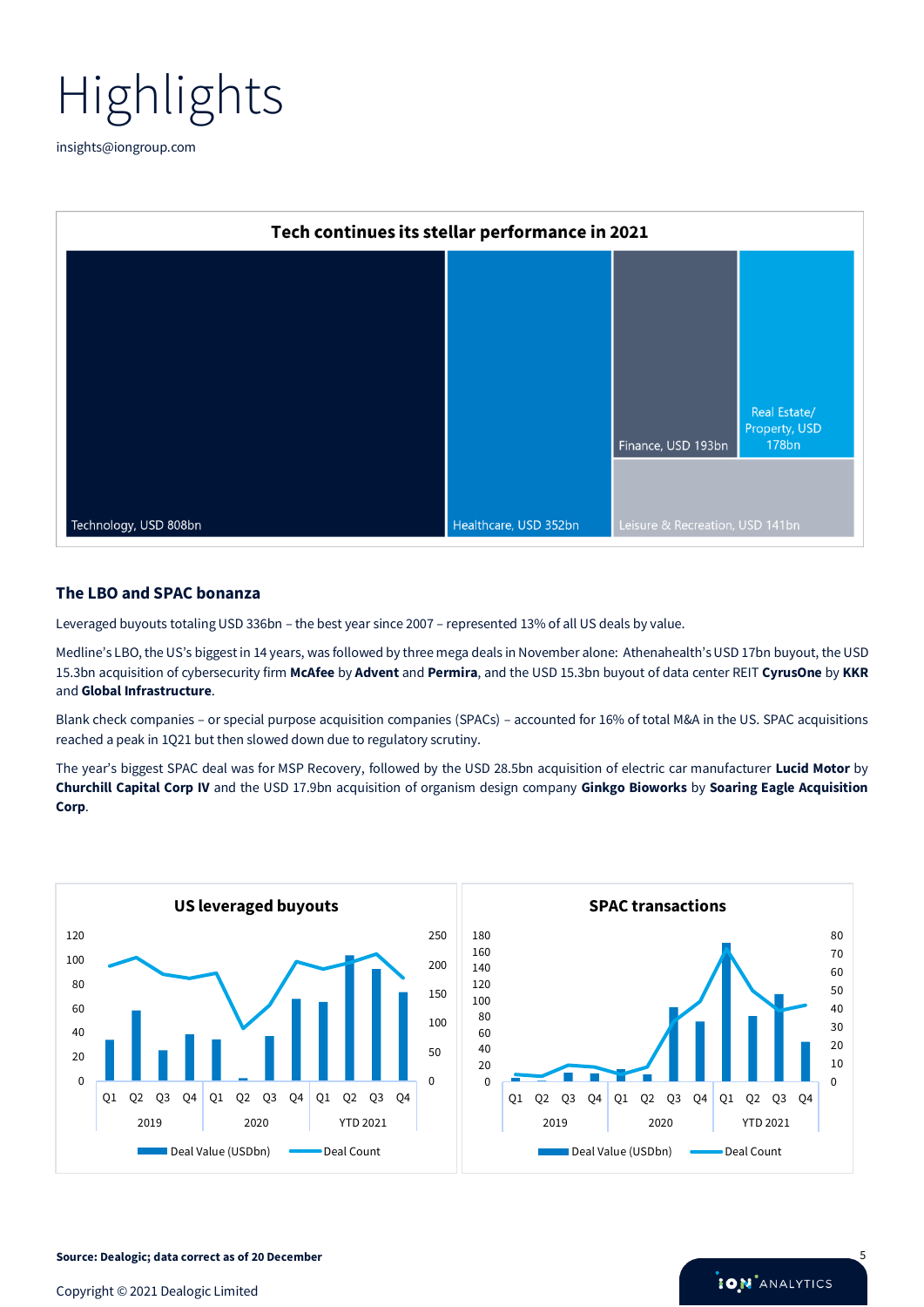

[insights@iongroup.com](mailto:insights@iongroup.com)

| Tech continues its stellar performance in 2021 |                       |                                 |                               |
|------------------------------------------------|-----------------------|---------------------------------|-------------------------------|
|                                                |                       |                                 |                               |
|                                                |                       |                                 |                               |
|                                                |                       |                                 |                               |
|                                                |                       |                                 |                               |
|                                                |                       |                                 | Real Estate/                  |
|                                                |                       | Finance, USD 193bn              | Property, USD<br><b>178bn</b> |
|                                                |                       |                                 |                               |
| Technology, USD 808bn                          | Healthcare, USD 352bn | Leisure & Recreation, USD 141bn |                               |

#### **The LBO and SPAC bonanza**

Leveraged buyouts totaling USD 336bn – the best year since 2007 – represented 13% of all US deals by value.

Medline's LBO, the US's biggest in 14 years, was followed by three mega deals in November alone: Athenahealth's USD 17bn buyout, the USD 15.3bn acquisition of cybersecurity firm **McAfee** by **Advent** and **Permira**, and the USD 15.3bn buyout of data center REIT **CyrusOne** by **KKR** and **Global Infrastructure**.

Blank check companies – or special purpose acquisition companies (SPACs) – accounted for 16% of total M&A in the US. SPAC acquisitions reached a peak in 1Q21 but then slowed down due to regulatory scrutiny.

The year's biggest SPAC deal was for MSP Recovery, followed by the USD 28.5bn acquisition of electric car manufacturer **Lucid Motor** by **Churchill Capital Corp IV** and the USD 17.9bn acquisition of organism design company **Ginkgo Bioworks** by **Soaring Eagle Acquisition Corp**.



**Source: Dealogic; data correct as of 20 December** 5

Copyright © 2021 Dealogic Limited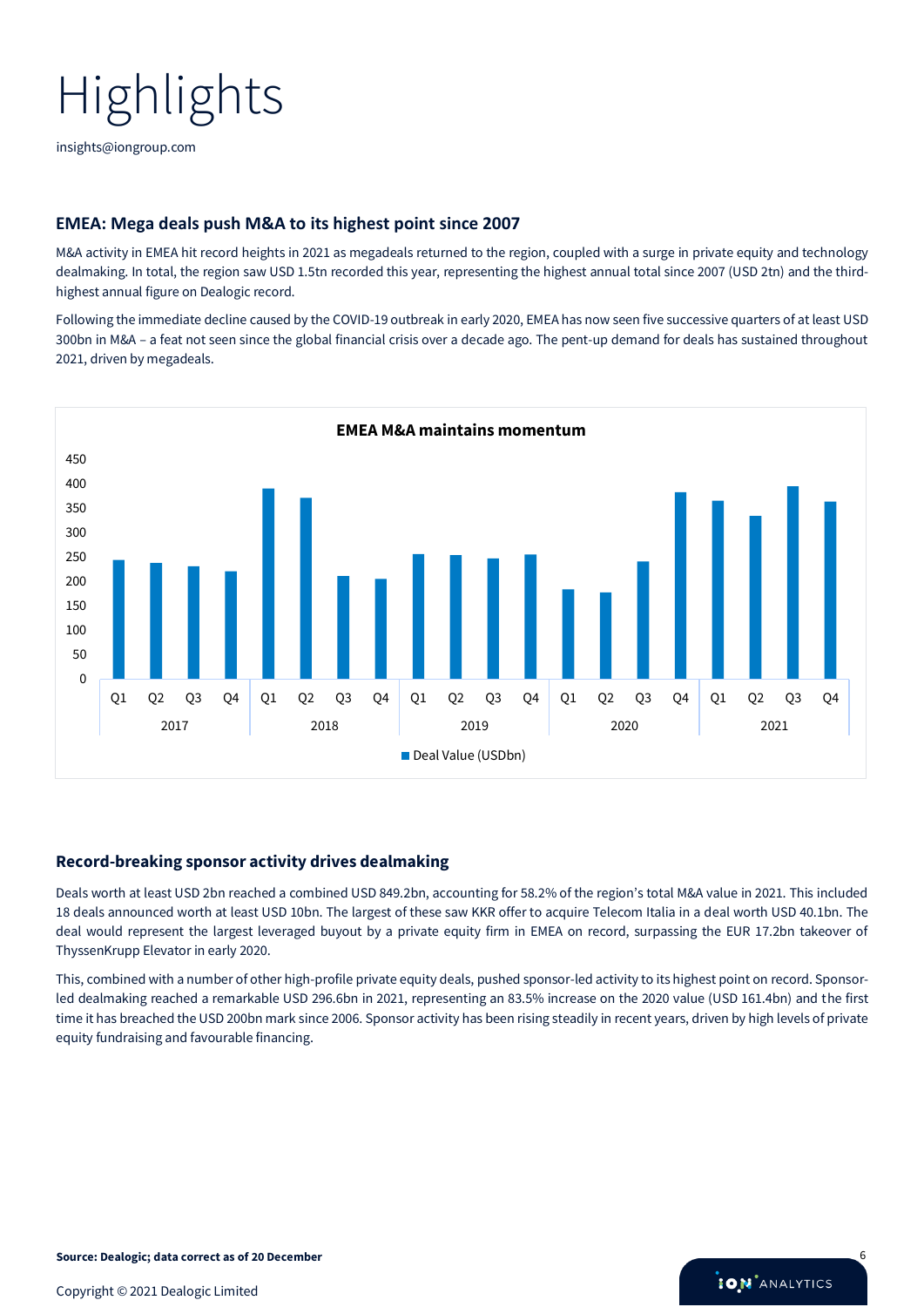[insights@iongroup.com](mailto:insights@iongroup.com)

### **EMEA: Mega deals push M&A to its highest point since 2007**

M&A activity in EMEA hit record heights in 2021 as megadeals returned to the region, coupled with a surge in private equity and technology dealmaking. In total, the region saw USD 1.5tn recorded this year, representing the highest annual total since 2007 (USD 2tn) and the thirdhighest annual figure on Dealogic record.

Following the immediate decline caused by the COVID-19 outbreak in early 2020, EMEA has now seen five successive quarters of at least USD 300bn in M&A – a feat not seen since the global financial crisis over a decade ago. The pent-up demand for deals has sustained throughout 2021, driven by megadeals.



#### **Record-breaking sponsor activity drives dealmaking**

Deals worth at least USD 2bn reached a combined USD 849.2bn, accounting for 58.2% of the region's total M&A value in 2021. This included 18 deals announced worth at least USD 10bn. The largest of these saw KKR offer to acquire Telecom Italia in a deal worth USD 40.1bn. The deal would represent the largest leveraged buyout by a private equity firm in EMEA on record, surpassing the EUR 17.2bn takeover of ThyssenKrupp Elevator in early 2020.

This, combined with a number of other high-profile private equity deals, pushed sponsor-led activity to its highest point on record. Sponsorled dealmaking reached a remarkable USD 296.6bn in 2021, representing an 83.5% increase on the 2020 value (USD 161.4bn) and the first time it has breached the USD 200bn mark since 2006. Sponsor activity has been rising steadily in recent years, driven by high levels of private equity fundraising and favourable financing.

**ION** ANALYTICS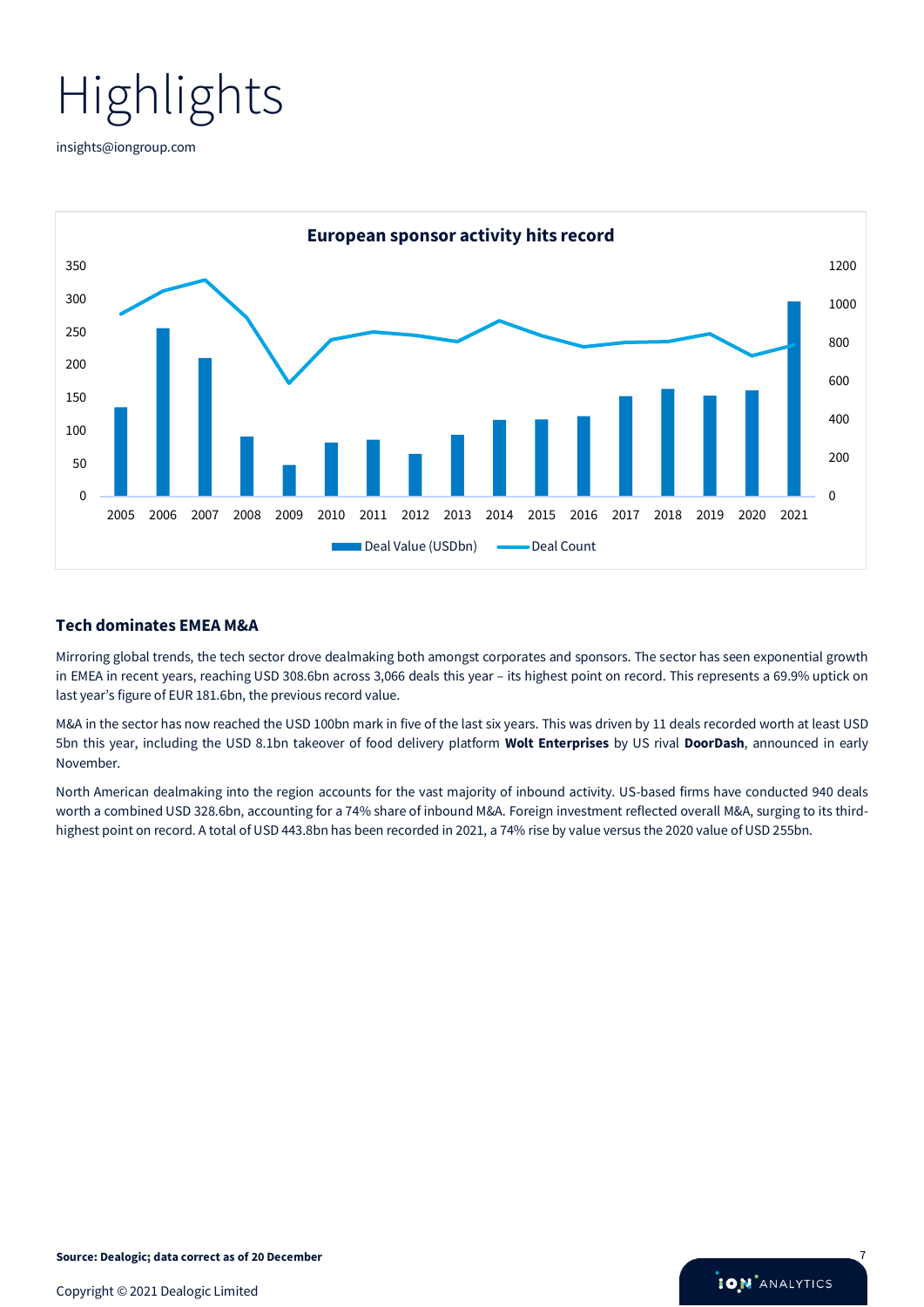[insights@iongroup.com](mailto:insights@iongroup.com)



#### **Tech dominates EMEA M&A**

Mirroring global trends, the tech sector drove dealmaking both amongst corporates and sponsors. The sector has seen exponential growth in EMEA in recent years, reaching USD 308.6bn across 3,066 deals this year – its highest point on record. This represents a 69.9% uptick on last year's figure of EUR 181.6bn, the previous record value.

M&A in the sector has now reached the USD 100bn mark in five of the last six years. This was driven by 11 deals recorded worth at least USD 5bn this year, including the USD 8.1bn takeover of food delivery platform **Wolt Enterprises** by US rival **DoorDash**, announced in early November.

North American dealmaking into the region accounts for the vast majority of inbound activity. US-based firms have conducted 940 deals worth a combined USD 328.6bn, accounting for a 74% share of inbound M&A. Foreign investment reflected overall M&A, surging to its thirdhighest point on record. A total of USD 443.8bn has been recorded in 2021, a 74% rise by value versus the 2020 value of USD 255bn.

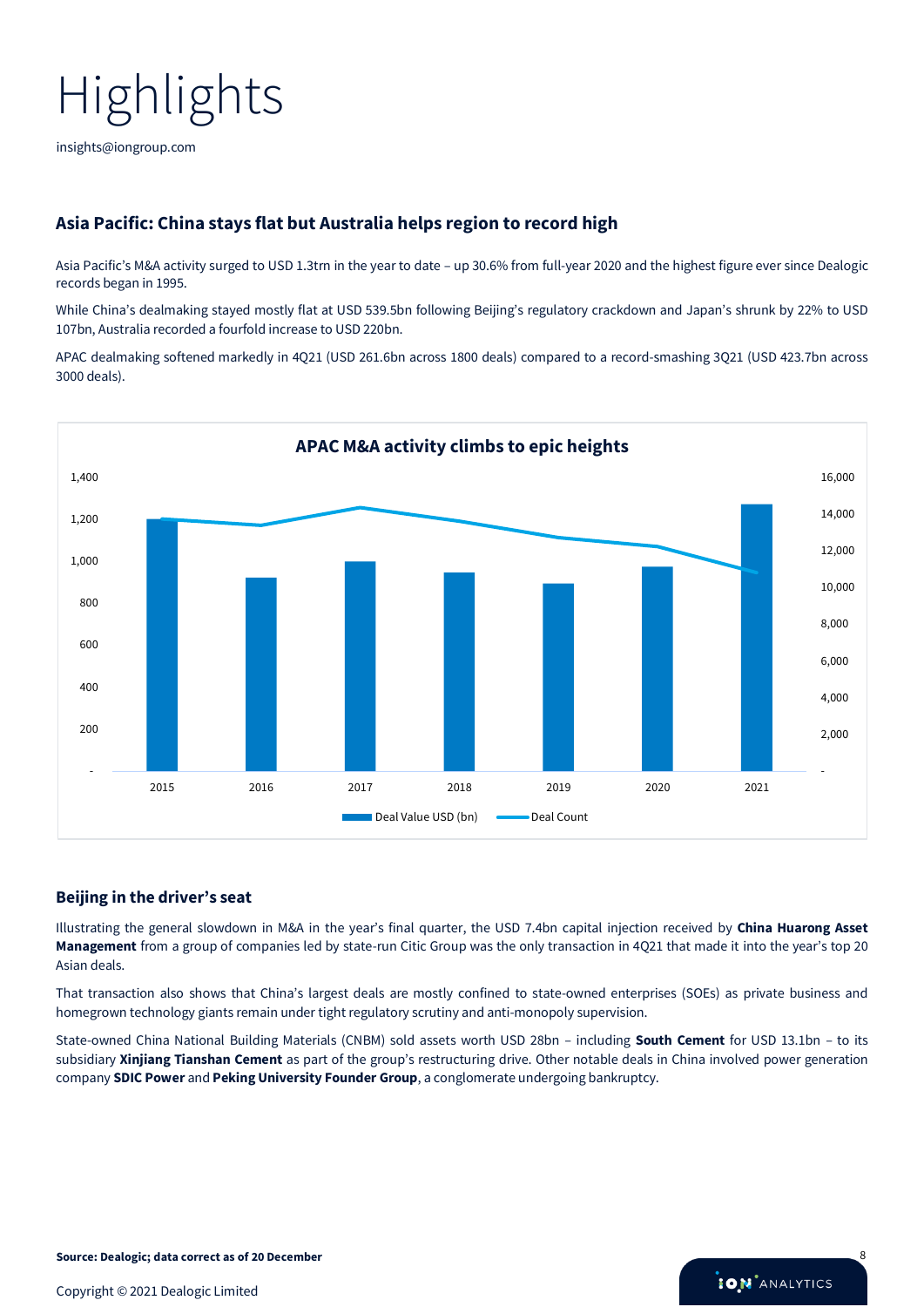[insights@iongroup.com](mailto:insights@iongroup.com)

### **Asia Pacific: China stays flat but Australia helps region to record high**

Asia Pacific's M&A activity surged to USD 1.3trn in the year to date – up 30.6% from full-year 2020 and the highest figure ever since Dealogic records began in 1995.

While China's dealmaking stayed mostly flat at USD 539.5bn following Beijing's regulatory crackdown and Japan's shrunk by 22% to USD 107bn, Australia recorded a fourfold increase to USD 220bn.

APAC dealmaking softened markedly in 4Q21 (USD 261.6bn across 1800 deals) compared to a record-smashing 3Q21 (USD 423.7bn across 3000 deals).



#### **Beijing in the driver's seat**

Illustrating the general slowdown in M&A in the year's final quarter, the USD 7.4bn capital injection received by **China Huarong Asset Management** from a group of companies led by state-run Citic Group was the only transaction in 4Q21 that made it into the year's top 20 Asian deals.

That transaction also shows that China's largest deals are mostly confined to state-owned enterprises (SOEs) as private business and homegrown technology giants remain under tight regulatory scrutiny and anti-monopoly supervision.

State-owned China National Building Materials (CNBM) sold assets worth USD 28bn – including **South Cement** for USD 13.1bn – to its subsidiary **Xinjiang Tianshan Cement** as part of the group's restructuring drive. Other notable deals in China involved power generation company **SDIC Power** and **Peking University Founder Group**, a conglomerate undergoing bankruptcy.